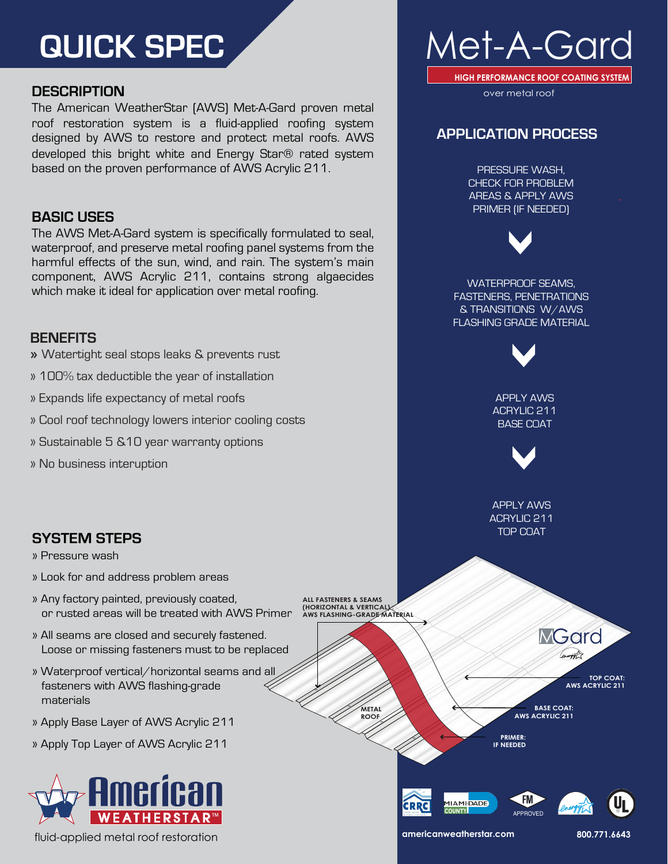# **QUICK SPEC**

# **DESCRIPTION**

The American WeatherStar (AWS) Met-A-Gard proven metal roof restoration system is a fluid-applied roofing system designed by AWS to restore and protect metal roofs. AWS developed this bright white and Energy Star® rated system based on the proven performance of AWS Acrylic 211.

# **BASIC USES**

The AWS Met-A-Gard system is specifically formulated to seal, waterproof, and preserve metal roofing panel systems from the harmful effects of the sun, wind, and rain. The system's main component, AWS Acrylic 211, contains strong algaecides which make it ideal for application over metal roofing.

# **BENEFITS**

- » Watertight seal stops leaks & prevents rust
- » 100% tax deductible the year of installation
- » Expands life expectancy of metal roofs
- » Cool roof technology lowers interior cooling costs
- » Sustainable 5 &10 year warranty options
- » No business interuption



- » Look for and address problem areas
- » Any factory painted, previously coated, or rusted areas will be treated with AWS Primer
- » All seams are closed and securely fastened. Loose or missing fasteners must to be replaced
- » Waterproof vertical/horizontal seams and all fasteners with AWS flashing-grade materials
- » Apply Base Layer of AWS Acrylic 211
- » Apply Top Layer of AWS Acrylic 211



fluid-applied metal roof restoration



**HIGH PERFORMANCE ROOF COATING SYSTEM**

over metal roof

# **APPLICATION PROCESS**

PRESSURE WASH, CHECK FOR PROBLEM AREAS & APPLY AWS PRIMER (IF NEEDED)



WATERPROOF SEAMS, FASTENERS, PENETRATIONS & TRANSITIONS W/AWS FLASHING GRADE MATERIAL



APPLY AWS ACRYLIC 211 BASE COAT



APPLY AWS ACRYLIC 211 TOP COAT

**ALL FASTENERS & SEAMS (HORIZONTAL & VERTICA) AWS FLASHING-GRADE MATERIAL**

**METAL** 

**ROOF**

**MGard** energy **TOP COAT: AWS ACRYLIC 211** 

**BASE COAT:** 

**PRIMER: IF NEEDED**

**AWS ACRYLIC 211** 







**americanweatherstar.com 800.771.6643**